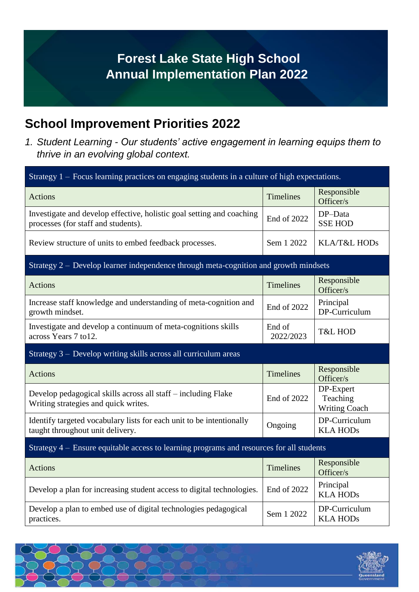## **Forest Lake State High School Annual Implementation Plan 2022**

## **School Improvement Priorities 2022**

*1. Student Learning - Our students' active engagement in learning equips them to thrive in an evolving global context.*

| Strategy $1 -$ Focus learning practices on engaging students in a culture of high expectations.              |                     |                                               |  |
|--------------------------------------------------------------------------------------------------------------|---------------------|-----------------------------------------------|--|
| <b>Actions</b>                                                                                               | <b>Timelines</b>    | Responsible<br>Officer/s                      |  |
| Investigate and develop effective, holistic goal setting and coaching<br>processes (for staff and students). | End of 2022         | DP-Data<br><b>SSE HOD</b>                     |  |
| Review structure of units to embed feedback processes.                                                       | Sem 1 2022          | KLA/T&L HODs                                  |  |
| Strategy 2 – Develop learner independence through meta-cognition and growth mindsets                         |                     |                                               |  |
| <b>Actions</b>                                                                                               | <b>Timelines</b>    | Responsible<br>Officer/s                      |  |
| Increase staff knowledge and understanding of meta-cognition and<br>growth mindset.                          | End of 2022         | Principal<br>DP-Curriculum                    |  |
| Investigate and develop a continuum of meta-cognitions skills<br>across Years 7 to 12.                       | End of<br>2022/2023 | <b>T&amp;L HOD</b>                            |  |
| Strategy 3 – Develop writing skills across all curriculum areas                                              |                     |                                               |  |
| <b>Actions</b>                                                                                               | <b>Timelines</b>    | Responsible<br>Officer/s                      |  |
| Develop pedagogical skills across all staff – including Flake<br>Writing strategies and quick writes.        | End of 2022         | DP-Expert<br>Teaching<br><b>Writing Coach</b> |  |
| Identify targeted vocabulary lists for each unit to be intentionally<br>taught throughout unit delivery.     | Ongoing             | DP-Curriculum<br><b>KLA HODs</b>              |  |
| Strategy 4 – Ensure equitable access to learning programs and resources for all students                     |                     |                                               |  |
| <b>Actions</b>                                                                                               | <b>Timelines</b>    | Responsible<br>Officer/s                      |  |
| Develop a plan for increasing student access to digital technologies.                                        | End of 2022         | Principal<br><b>KLA HODs</b>                  |  |
| Develop a plan to embed use of digital technologies pedagogical<br>practices.                                | Sem 1 2022          | DP-Curriculum<br><b>KLA HODs</b>              |  |

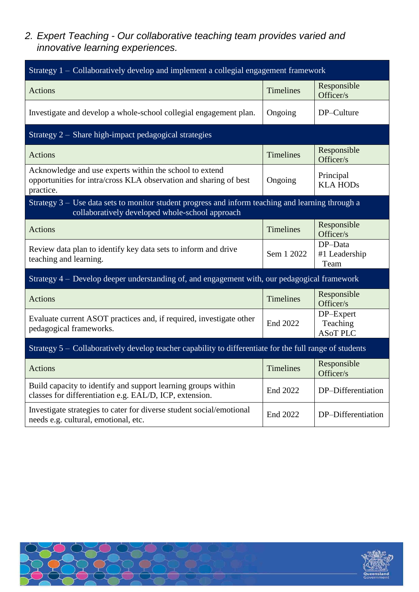*2. Expert Teaching - Our collaborative teaching team provides varied and innovative learning experiences.*

| Strategy 1 – Collaboratively develop and implement a collegial engagement framework                                                                    |                  |                                          |  |
|--------------------------------------------------------------------------------------------------------------------------------------------------------|------------------|------------------------------------------|--|
| <b>Actions</b>                                                                                                                                         | <b>Timelines</b> | Responsible<br>Officer/s                 |  |
| Investigate and develop a whole-school collegial engagement plan.                                                                                      | Ongoing          | DP-Culture                               |  |
| Strategy 2 – Share high-impact pedagogical strategies                                                                                                  |                  |                                          |  |
| <b>Actions</b>                                                                                                                                         | <b>Timelines</b> | Responsible<br>Officer/s                 |  |
| Acknowledge and use experts within the school to extend<br>opportunities for intra/cross KLA observation and sharing of best<br>practice.              | Ongoing          | Principal<br><b>KLA HODs</b>             |  |
| Strategy $3 -$ Use data sets to monitor student progress and inform teaching and learning through a<br>collaboratively developed whole-school approach |                  |                                          |  |
| <b>Actions</b>                                                                                                                                         | <b>Timelines</b> | Responsible<br>Officer/s                 |  |
| Review data plan to identify key data sets to inform and drive<br>teaching and learning.                                                               | Sem 1 2022       | DP-Data<br>#1 Leadership<br>Team         |  |
| Strategy 4 – Develop deeper understanding of, and engagement with, our pedagogical framework                                                           |                  |                                          |  |
| <b>Actions</b>                                                                                                                                         | <b>Timelines</b> | Responsible<br>Officer/s                 |  |
| Evaluate current ASOT practices and, if required, investigate other<br>pedagogical frameworks.                                                         | End 2022         | DP-Expert<br>Teaching<br><b>ASoT PLC</b> |  |
| Strategy 5 – Collaboratively develop teacher capability to differentiate for the full range of students                                                |                  |                                          |  |
| <b>Actions</b>                                                                                                                                         | <b>Timelines</b> | Responsible<br>Officer/s                 |  |
| Build capacity to identify and support learning groups within<br>classes for differentiation e.g. EAL/D, ICP, extension.                               | End 2022         | DP-Differentiation                       |  |
| Investigate strategies to cater for diverse student social/emotional<br>needs e.g. cultural, emotional, etc.                                           | End 2022         | DP-Differentiation                       |  |

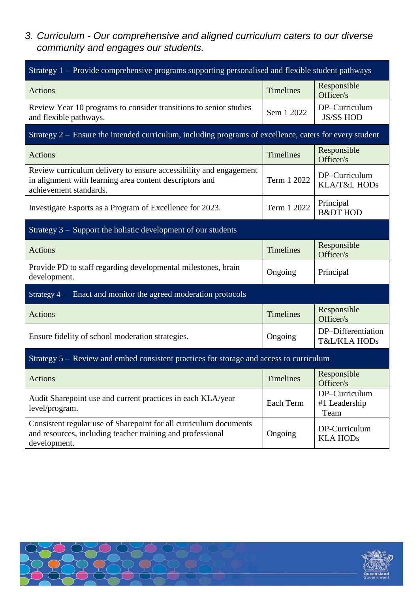*3. Curriculum - Our comprehensive and aligned curriculum caters to our diverse community and engages our students.*

| Strategy 1 – Provide comprehensive programs supporting personalised and flexible student pathways                                                      |                  |                                               |  |
|--------------------------------------------------------------------------------------------------------------------------------------------------------|------------------|-----------------------------------------------|--|
| <b>Actions</b>                                                                                                                                         | <b>Timelines</b> | Responsible<br>Officer/s                      |  |
| Review Year 10 programs to consider transitions to senior studies<br>and flexible pathways.                                                            | Sem 1 2022       | DP-Curriculum<br><b>JS/SS HOD</b>             |  |
| Strategy $2 -$ Ensure the intended curriculum, including programs of excellence, caters for every student                                              |                  |                                               |  |
| <b>Actions</b>                                                                                                                                         | <b>Timelines</b> | Responsible<br>Officer/s                      |  |
| Review curriculum delivery to ensure accessibility and engagement<br>in alignment with learning area content descriptors and<br>achievement standards. | Term 1 2022      | DP-Curriculum<br>KLA/T&L HODs                 |  |
| Investigate Esports as a Program of Excellence for 2023.                                                                                               | Term 1 2022      | Principal<br><b>B&amp;DT HOD</b>              |  |
| Strategy 3 - Support the holistic development of our students                                                                                          |                  |                                               |  |
| <b>Actions</b>                                                                                                                                         | <b>Timelines</b> | Responsible<br>Officer/s                      |  |
| Provide PD to staff regarding developmental milestones, brain<br>development.                                                                          | Ongoing          | Principal                                     |  |
| Strategy 4 – Enact and monitor the agreed moderation protocols                                                                                         |                  |                                               |  |
| <b>Actions</b>                                                                                                                                         | <b>Timelines</b> | Responsible<br>Officer/s                      |  |
| Ensure fidelity of school moderation strategies.                                                                                                       | Ongoing          | DP-Differentiation<br><b>T&amp;L/KLA HODs</b> |  |
| Strategy 5 – Review and embed consistent practices for storage and access to curriculum                                                                |                  |                                               |  |
| <b>Actions</b>                                                                                                                                         | Timelines        | Responsible<br>Officer/s                      |  |
| Audit Sharepoint use and current practices in each KLA/year<br>level/program.                                                                          | Each Term        | DP-Curriculum<br>#1 Leadership<br>Team        |  |
| Consistent regular use of Sharepoint for all curriculum documents<br>and resources, including teacher training and professional<br>development.        | Ongoing          | DP-Curriculum<br><b>KLA HODs</b>              |  |

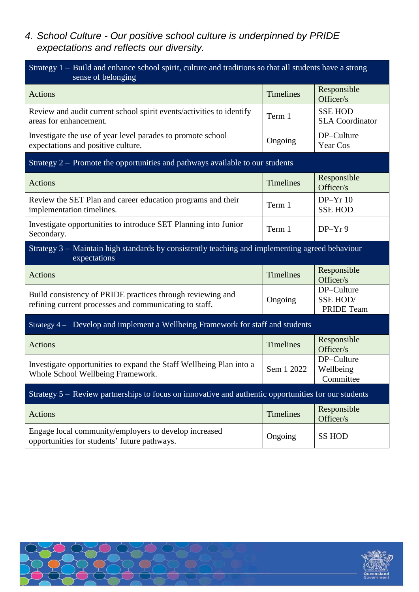*4. School Culture - Our positive school culture is underpinned by PRIDE expectations and reflects our diversity.*

| Strategy 1 – Build and enhance school spirit, culture and traditions so that all students have a strong<br>sense of belonging |                  |                                                    |  |
|-------------------------------------------------------------------------------------------------------------------------------|------------------|----------------------------------------------------|--|
| <b>Actions</b>                                                                                                                | <b>Timelines</b> | Responsible<br>Officer/s                           |  |
| Review and audit current school spirit events/activities to identify<br>areas for enhancement.                                | Term 1           | <b>SSE HOD</b><br><b>SLA</b> Coordinator           |  |
| Investigate the use of year level parades to promote school<br>expectations and positive culture.                             | Ongoing          | DP-Culture<br>Year Cos                             |  |
| Strategy 2 – Promote the opportunities and pathways available to our students                                                 |                  |                                                    |  |
| <b>Actions</b>                                                                                                                | Timelines        | Responsible<br>Officer/s                           |  |
| Review the SET Plan and career education programs and their<br>implementation timelines.                                      | Term 1           | $DP-Yr10$<br><b>SSE HOD</b>                        |  |
| Investigate opportunities to introduce SET Planning into Junior<br>Secondary.                                                 | Term 1           | $DP-Yr9$                                           |  |
| Strategy 3 – Maintain high standards by consistently teaching and implementing agreed behaviour<br>expectations               |                  |                                                    |  |
| <b>Actions</b>                                                                                                                | <b>Timelines</b> | Responsible<br>Officer/s                           |  |
| Build consistency of PRIDE practices through reviewing and<br>refining current processes and communicating to staff.          | Ongoing          | DP-Culture<br><b>SSE HOD/</b><br><b>PRIDE Team</b> |  |
| Strategy 4 – Develop and implement a Wellbeing Framework for staff and students                                               |                  |                                                    |  |
| <b>Actions</b>                                                                                                                | <b>Timelines</b> | Responsible<br>Officer/s                           |  |
| Investigate opportunities to expand the Staff Wellbeing Plan into a<br>Whole School Wellbeing Framework.                      | Sem 1 2022       | DP-Culture<br>Wellbeing<br>Committee               |  |
| Strategy 5 – Review partnerships to focus on innovative and authentic opportunities for our students                          |                  |                                                    |  |
| Actions                                                                                                                       | Timelines        | Responsible<br>Officer/s                           |  |
| Engage local community/employers to develop increased<br>opportunities for students' future pathways.                         | Ongoing          | <b>SS HOD</b>                                      |  |